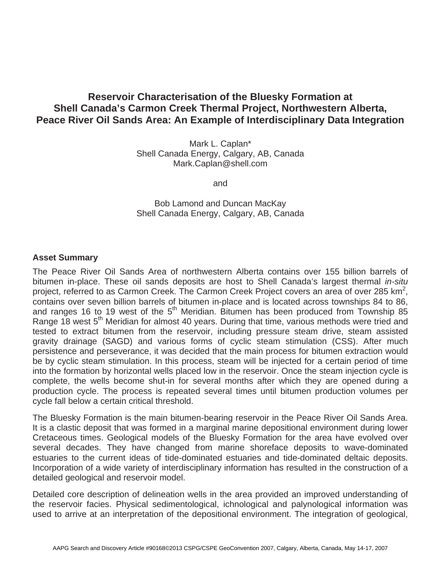## **Reservoir Characterisation of the Bluesky Formation at Shell Canada's Carmon Creek Thermal Project, Northwestern Alberta, Peace River Oil Sands Area: An Example of Interdisciplinary Data Integration**

Mark L. Caplan\* Shell Canada Energy, Calgary, AB, Canada Mark.Caplan@shell.com

and

Bob Lamond and Duncan MacKay Shell Canada Energy, Calgary, AB, Canada

## **Asset Summary**

The Peace River Oil Sands Area of northwestern Alberta contains over 155 billion barrels of bitumen in-place. These oil sands deposits are host to Shell Canada's largest thermal *in-situ* project, referred to as Carmon Creek. The Carmon Creek Project covers an area of over 285 km<sup>2</sup>, contains over seven billion barrels of bitumen in-place and is located across townships 84 to 86, and ranges 16 to 19 west of the  $5<sup>th</sup>$  Meridian. Bitumen has been produced from Township 85 Range 18 west 5<sup>th</sup> Meridian for almost 40 years. During that time, various methods were tried and tested to extract bitumen from the reservoir, including pressure steam drive, steam assisted gravity drainage (SAGD) and various forms of cyclic steam stimulation (CSS). After much persistence and perseverance, it was decided that the main process for bitumen extraction would be by cyclic steam stimulation. In this process, steam will be injected for a certain period of time into the formation by horizontal wells placed low in the reservoir. Once the steam injection cycle is complete, the wells become shut-in for several months after which they are opened during a production cycle. The process is repeated several times until bitumen production volumes per cycle fall below a certain critical threshold.

The Bluesky Formation is the main bitumen-bearing reservoir in the Peace River Oil Sands Area. It is a clastic deposit that was formed in a marginal marine depositional environment during lower Cretaceous times. Geological models of the Bluesky Formation for the area have evolved over several decades. They have changed from marine shoreface deposits to wave-dominated estuaries to the current ideas of tide-dominated estuaries and tide-dominated deltaic deposits. Incorporation of a wide variety of interdisciplinary information has resulted in the construction of a detailed geological and reservoir model.

Detailed core description of delineation wells in the area provided an improved understanding of the reservoir facies. Physical sedimentological, ichnological and palynological information was used to arrive at an interpretation of the depositional environment. The integration of geological,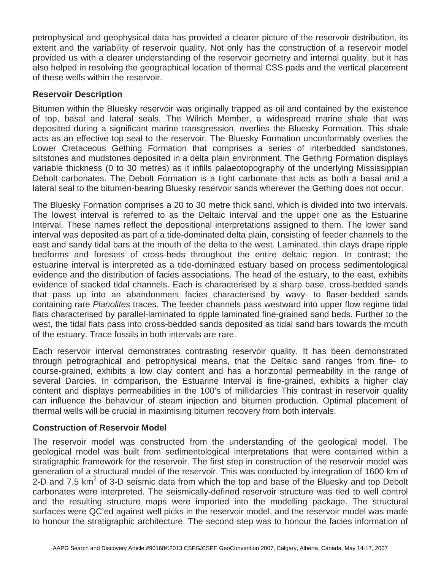petrophysical and geophysical data has provided a clearer picture of the reservoir distribution, its extent and the variability of reservoir quality. Not only has the construction of a reservoir model provided us with a clearer understanding of the reservoir geometry and internal quality, but it has also helped in resolving the geographical location of thermal CSS pads and the vertical placement of these wells within the reservoir.

## **Reservoir Description**

Bitumen within the Bluesky reservoir was originally trapped as oil and contained by the existence of top, basal and lateral seals. The Wilrich Member, a widespread marine shale that was deposited during a significant marine transgression, overlies the Bluesky Formation. This shale acts as an effective top seal to the reservoir. The Bluesky Formation unconformably overlies the Lower Cretaceous Gething Formation that comprises a series of interbedded sandstones, siltstones and mudstones deposited in a delta plain environment. The Gething Formation displays variable thickness (0 to 30 metres) as it infills palaeotopography of the underlying Mississippian Debolt carbonates. The Debolt Formation is a tight carbonate that acts as both a basal and a lateral seal to the bitumen-bearing Bluesky reservoir sands wherever the Gething does not occur.

The Bluesky Formation comprises a 20 to 30 metre thick sand, which is divided into two intervals. The lowest interval is referred to as the Deltaic Interval and the upper one as the Estuarine Interval. These names reflect the depositional interpretations assigned to them. The lower sand interval was deposited as part of a tide-dominated delta plain, consisting of feeder channels to the east and sandy tidal bars at the mouth of the delta to the west. Laminated, thin clays drape ripple bedforms and foresets of cross-beds throughout the entire deltaic region. In contrast; the estuarine interval is interpreted as a tide-dominated estuary based on process sedimentological evidence and the distribution of facies associations. The head of the estuary, to the east, exhibits evidence of stacked tidal channels. Each is characterised by a sharp base, cross-bedded sands that pass up into an abandonment facies characterised by wavy- to flaser-bedded sands containing rare *Planolites* traces. The feeder channels pass westward into upper flow regime tidal flats characterised by parallel-laminated to ripple laminated fine-grained sand beds. Further to the west, the tidal flats pass into cross-bedded sands deposited as tidal sand bars towards the mouth of the estuary. Trace fossils in both intervals are rare.

Each reservoir interval demonstrates contrasting reservoir quality. It has been demonstrated through petrographical and petrophysical means, that the Deltaic sand ranges from fine- to course-grained, exhibits a low clay content and has a horizontal permeability in the range of several Darcies. In comparison, the Estuarine Interval is fine-grained, exhibits a higher clay content and displays permeabilities in the 100's of millidarcies This contrast in reservoir quality can influence the behaviour of steam injection and bitumen production. Optimal placement of thermal wells will be crucial in maximising bitumen recovery from both intervals.

## **Construction of Reservoir Model**

The reservoir model was constructed from the understanding of the geological model. The geological model was built from sedimentological interpretations that were contained within a stratigraphic framework for the reservoir. The first step in construction of the reservoir model was generation of a structural model of the reservoir. This was conducted by integration of 1600 km of  $2$ -D and 7.5 km<sup>2</sup> of 3-D seismic data from which the top and base of the Bluesky and top Debolt carbonates were interpreted. The seismically-defined reservoir structure was tied to well control and the resulting structure maps were imported into the modelling package. The structural surfaces were QC'ed against well picks in the reservoir model, and the reservoir model was made to honour the stratigraphic architecture. The second step was to honour the facies information of